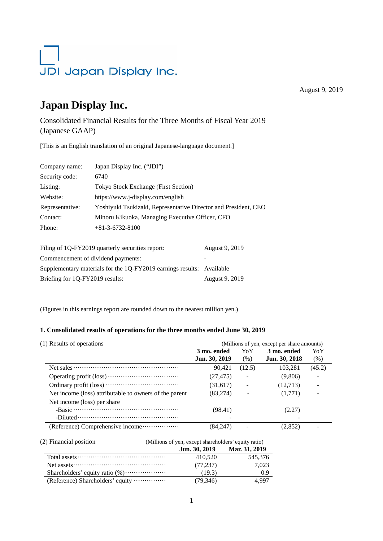# JDI Japan Display Inc.

August 9, 2019

# **Japan Display Inc.**

Consolidated Financial Results for the Three Months of Fiscal Year 2019 (Japanese GAAP)

[This is an English translation of an original Japanese-language document.]

| Company name:   | Japan Display Inc. ("JDI")                                      |
|-----------------|-----------------------------------------------------------------|
| Security code:  | 6740                                                            |
| Listing:        | <b>Tokyo Stock Exchange (First Section)</b>                     |
| Website:        | https://www.j-display.com/english                               |
| Representative: | Yoshiyuki Tsukizaki, Representative Director and President, CEO |
| Contact:        | Minoru Kikuoka, Managing Executive Officer, CFO                 |
| Phone:          | $+81-3-6732-8100$                                               |
|                 |                                                                 |
|                 |                                                                 |

| Filing of 1Q-FY2019 quarterly securities report:                      | August 9, 2019           |
|-----------------------------------------------------------------------|--------------------------|
| Commencement of dividend payments:                                    | $\overline{\phantom{a}}$ |
| Supplementary materials for the 1Q-FY2019 earnings results: Available |                          |
| Briefing for 1Q-FY2019 results:                                       | August 9, 2019           |

(Figures in this earnings report are rounded down to the nearest million yen.)

#### **1. Consolidated results of operations for the three months ended June 30, 2019**

| (1) Results of operations                                                                             |               |                          | (Millions of yen, except per share amounts) |        |
|-------------------------------------------------------------------------------------------------------|---------------|--------------------------|---------------------------------------------|--------|
|                                                                                                       | 3 mo. ended   | YoY                      | 3 mo. ended                                 | YoY    |
|                                                                                                       | Jun. 30, 2019 | (% )                     | Jun. 30, 2018                               | (% )   |
| Net sales $\dots \dots \dots \dots \dots \dots \dots \dots \dots \dots \dots \dots \dots \dots \dots$ | 90.421        | (12.5)                   | 103,281                                     | (45.2) |
|                                                                                                       | (27, 475)     | $\overline{a}$           | (9,806)                                     |        |
|                                                                                                       | (31,617)      |                          | (12,713)                                    |        |
| Net income (loss) attributable to owners of the parent                                                | (83,274)      | $\overline{\phantom{a}}$ | (1,771)                                     |        |
| Net income (loss) per share                                                                           |               |                          |                                             |        |
|                                                                                                       | (98.41)       |                          | (2.27)                                      |        |
| $-Diluted \dots \dots \dots \dots \dots \dots \dots \dots \dots \dots \dots \dots \dots$              |               |                          |                                             |        |
| (Reference) Comprehensive income                                                                      | (84.247)      |                          | (2,852)                                     |        |

| (2) Financial position           | (Millions of yen, except shareholders' equity ratio) |               |
|----------------------------------|------------------------------------------------------|---------------|
|                                  | Jun. 30, 2019                                        | Mar. 31, 2019 |
|                                  | 410.520                                              | 545,376       |
|                                  | (77, 237)                                            | 7.023         |
|                                  | (19.3)                                               | 0.9           |
| (Reference) Shareholders' equity | (79, 346)                                            | 4.997         |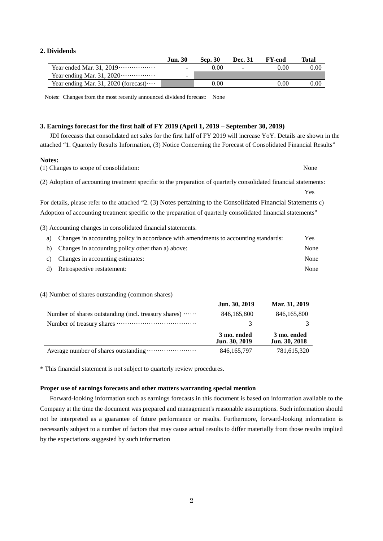#### **2. Dividends**

| <b>Jun. 30</b> | <b>Sep. 30</b> | Dec. 31 | <b>FY-end</b> | Total    |
|----------------|----------------|---------|---------------|----------|
| -              | 0.00           | $\sim$  | 0.00          | 0.00     |
|                |                |         |               |          |
|                | $0.00\,$       |         | 0.00          | $0.00\,$ |
|                |                |         |               |          |

Notes: Changes from the most recently announced dividend forecast: None

#### **3. Earnings forecast for the first half of FY 2019 (April 1, 2019 – September 30, 2019)**

JDI forecasts that consolidated net sales for the first half of FY 2019 will increase YoY. Details are shown in the attached "1. Quarterly Results Information, (3) Notice Concerning the Forecast of Consolidated Financial Results"

#### **Notes:**

| (1) Changes to scope of consolidation:                                                                           | None |
|------------------------------------------------------------------------------------------------------------------|------|
| (2) Adoption of accounting treatment specific to the preparation of quarterly consolidated financial statements: |      |
|                                                                                                                  | Yes  |
| For details, please refer to the attached "2. (3) Notes pertaining to the Consolidated Financial Statements c)   |      |
| Adoption of accounting treatment specific to the preparation of quarterly consolidated financial statements"     |      |
| $(2)$ . A construction of the construction of the following $\mathcal{L}$ and $\mathcal{L}$ and $\mathcal{L}$    |      |

(3) Accounting changes in consolidated financial statements.

| a) Changes in accounting policy in accordance with amendments to accounting standards: | Yes  |
|----------------------------------------------------------------------------------------|------|
| b) Changes in accounting policy other than a) above:                                   | None |
| c) Changes in accounting estimates:                                                    | None |
| d) Retrospective restatement:                                                          | None |

#### (4) Number of shares outstanding (common shares)

|                                                               | Jun. 30, 2019                | Mar. 31, 2019                |
|---------------------------------------------------------------|------------------------------|------------------------------|
| Number of shares outstanding (incl. treasury shares) $\cdots$ | 846, 165, 800                | 846, 165, 800                |
|                                                               |                              |                              |
|                                                               | 3 mo. ended<br>Jun. 30, 2019 | 3 mo. ended<br>Jun. 30, 2018 |
|                                                               | 846, 165, 797                | 781,615,320                  |

\* This financial statement is not subject to quarterly review procedures.

#### **Proper use of earnings forecasts and other matters warranting special mention**

 Forward-looking information such as earnings forecasts in this document is based on information available to the Company at the time the document was prepared and management's reasonable assumptions. Such information should not be interpreted as a guarantee of future performance or results. Furthermore, forward-looking information is necessarily subject to a number of factors that may cause actual results to differ materially from those results implied by the expectations suggested by such information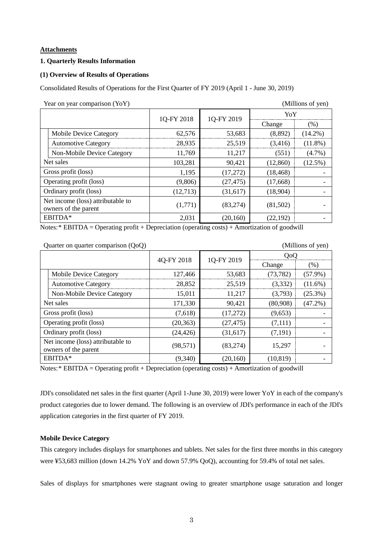#### **Attachments**

#### **1. Quarterly Results Information**

#### **(1) Overview of Results of Operations**

Consolidated Results of Operations for the First Quarter of FY 2019 (April 1 - June 30, 2019)

| Year on year comparison (YoY)<br>(Millions of yen) |                                                           |            |            |           |            |
|----------------------------------------------------|-----------------------------------------------------------|------------|------------|-----------|------------|
|                                                    |                                                           |            |            | YoY       |            |
|                                                    |                                                           | 1Q-FY 2018 | 1Q-FY 2019 | Change    | (%)        |
|                                                    | <b>Mobile Device Category</b>                             | 62,576     | 53,683     | (8,892)   | $(14.2\%)$ |
|                                                    | <b>Automotive Category</b>                                | 28,935     | 25,519     | (3,416)   | $(11.8\%)$ |
|                                                    | Non-Mobile Device Category                                | 11,769     | 11,217     | (551)     | $(4.7\%)$  |
| Net sales                                          |                                                           | 103,281    | 90,421     | (12,860)  | $(12.5\%)$ |
| Gross profit (loss)                                |                                                           | 1,195      | (17,272)   | (18, 468) |            |
| Operating profit (loss)                            |                                                           | (9,806)    | (27, 475)  | (17,668)  |            |
| Ordinary profit (loss)                             |                                                           | (12,713)   | (31, 617)  | (18,904)  |            |
|                                                    | Net income (loss) attributable to<br>owners of the parent | (1,771)    | (83, 274)  | (81,502)  |            |
|                                                    | EBITDA*                                                   | 2,031      | (20,160)   | (22, 192) |            |
|                                                    |                                                           |            |            |           |            |

Notes:\* EBITDA = Operating profit + Depreciation (operating costs) + Amortization of goodwill

| Quarter on quarter comparison $(QoQ)$ |                                                           |            |            | (Millions of yen) |            |
|---------------------------------------|-----------------------------------------------------------|------------|------------|-------------------|------------|
|                                       |                                                           |            |            | QoQ               |            |
|                                       |                                                           | 4Q-FY 2018 | 1Q-FY 2019 | Change            | (% )       |
|                                       | <b>Mobile Device Category</b>                             | 127,466    | 53,683     | (73, 782)         | $(57.9\%)$ |
|                                       | <b>Automotive Category</b>                                | 28,852     | 25,519     | (3,332)           | $(11.6\%)$ |
|                                       | Non-Mobile Device Category                                | 15,011     | 11,217     | (3,793)           | (25.3%)    |
| Net sales                             |                                                           | 171,330    | 90,421     | (80,908)          | $(47.2\%)$ |
| Gross profit (loss)                   |                                                           | (7,618)    | (17,272)   | (9,653)           |            |
| Operating profit (loss)               |                                                           | (20, 363)  | (27, 475)  | (7,111)           |            |
|                                       | Ordinary profit (loss)                                    | (24, 426)  | (31,617)   | (7,191)           |            |
|                                       | Net income (loss) attributable to<br>owners of the parent | (98, 571)  | (83, 274)  | 15,297            |            |
|                                       | EBITDA*                                                   | (9,340)    | (20, 160)  | (10, 819)         |            |

Notes:\* EBITDA = Operating profit + Depreciation (operating costs) + Amortization of goodwill

JDI's consolidated net sales in the first quarter (April 1-June 30, 2019) were lower YoY in each of the company's product categories due to lower demand. The following is an overview of JDI's performance in each of the JDI's application categories in the first quarter of FY 2019.

#### **Mobile Device Category**

This category includes displays for smartphones and tablets. Net sales for the first three months in this category were ¥53,683 million (down 14.2% YoY and down 57.9% QoQ), accounting for 59.4% of total net sales.

Sales of displays for smartphones were stagnant owing to greater smartphone usage saturation and longer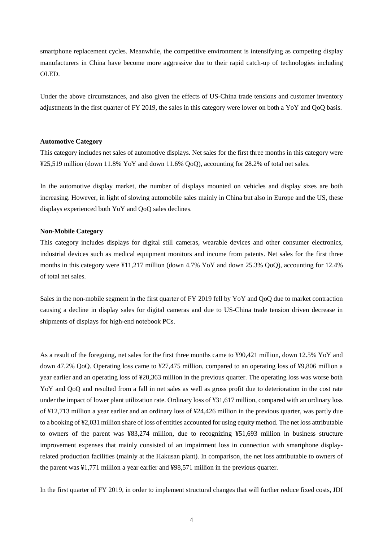smartphone replacement cycles. Meanwhile, the competitive environment is intensifying as competing display manufacturers in China have become more aggressive due to their rapid catch-up of technologies including OLED.

Under the above circumstances, and also given the effects of US-China trade tensions and customer inventory adjustments in the first quarter of FY 2019, the sales in this category were lower on both a YoY and QoQ basis.

#### **Automotive Category**

This category includes net sales of automotive displays. Net sales for the first three months in this category were ¥25,519 million (down 11.8% YoY and down 11.6% QoQ), accounting for 28.2% of total net sales.

In the automotive display market, the number of displays mounted on vehicles and display sizes are both increasing. However, in light of slowing automobile sales mainly in China but also in Europe and the US, these displays experienced both YoY and QoQ sales declines.

#### **Non-Mobile Category**

This category includes displays for digital still cameras, wearable devices and other consumer electronics, industrial devices such as medical equipment monitors and income from patents. Net sales for the first three months in this category were ¥11,217 million (down 4.7% YoY and down 25.3% QoQ), accounting for 12.4% of total net sales.

Sales in the non-mobile segment in the first quarter of FY 2019 fell by YoY and QoQ due to market contraction causing a decline in display sales for digital cameras and due to US-China trade tension driven decrease in shipments of displays for high-end notebook PCs.

As a result of the foregoing, net sales for the first three months came to ¥90,421 million, down 12.5% YoY and down 47.2% QoQ. Operating loss came to ¥27,475 million, compared to an operating loss of ¥9,806 million a year earlier and an operating loss of ¥20,363 million in the previous quarter. The operating loss was worse both YoY and QoQ and resulted from a fall in net sales as well as gross profit due to deterioration in the cost rate under the impact of lower plant utilization rate. Ordinary loss of ¥31,617 million, compared with an ordinary loss of ¥12,713 million a year earlier and an ordinary loss of ¥24,426 million in the previous quarter, was partly due to a booking of ¥2,031 million share of loss of entities accounted for using equity method. The net loss attributable to owners of the parent was ¥83,274 million, due to recognizing ¥51,693 million in business structure improvement expenses that mainly consisted of an impairment loss in connection with smartphone displayrelated production facilities (mainly at the Hakusan plant). In comparison, the net loss attributable to owners of the parent was ¥1,771 million a year earlier and ¥98,571 million in the previous quarter.

In the first quarter of FY 2019, in order to implement structural changes that will further reduce fixed costs, JDI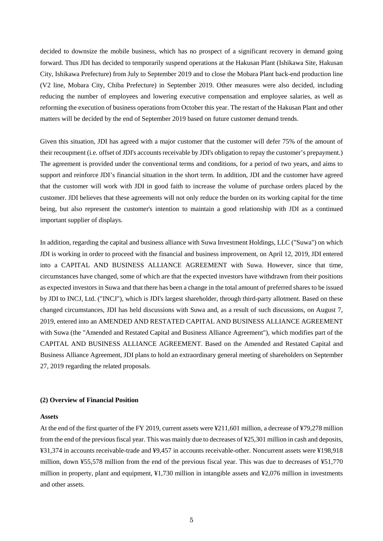decided to downsize the mobile business, which has no prospect of a significant recovery in demand going forward. Thus JDI has decided to temporarily suspend operations at the Hakusan Plant (Ishikawa Site, Hakusan City, Ishikawa Prefecture) from July to September 2019 and to close the Mobara Plant back-end production line (V2 line, Mobara City, Chiba Prefecture) in September 2019. Other measures were also decided, including reducing the number of employees and lowering executive compensation and employee salaries, as well as reforming the execution of business operations from October this year. The restart of the Hakusan Plant and other matters will be decided by the end of September 2019 based on future customer demand trends.

Given this situation, JDI has agreed with a major customer that the customer will defer 75% of the amount of their recoupment (i.e. offset of JDI's accounts receivable by JDI's obligation to repay the customer's prepayment.) The agreement is provided under the conventional terms and conditions, for a period of two years, and aims to support and reinforce JDI's financial situation in the short term. In addition, JDI and the customer have agreed that the customer will work with JDI in good faith to increase the volume of purchase orders placed by the customer. JDI believes that these agreements will not only reduce the burden on its working capital for the time being, but also represent the customer's intention to maintain a good relationship with JDI as a continued important supplier of displays.

In addition, regarding the capital and business alliance with Suwa Investment Holdings, LLC ("Suwa") on which JDI is working in order to proceed with the financial and business improvement, on April 12, 2019, JDI entered into a CAPITAL AND BUSINESS ALLIANCE AGREEMENT with Suwa. However, since that time, circumstances have changed, some of which are that the expected investors have withdrawn from their positions as expected investors in Suwa and that there has been a change in the total amount of preferred shares to be issued by JDI to INCJ, Ltd. ("INCJ"), which is JDI's largest shareholder, through third-party allotment. Based on these changed circumstances, JDI has held discussions with Suwa and, as a result of such discussions, on August 7, 2019, entered into an AMENDED AND RESTATED CAPITAL AND BUSINESS ALLIANCE AGREEMENT with Suwa (the "Amended and Restated Capital and Business Alliance Agreement"), which modifies part of the CAPITAL AND BUSINESS ALLIANCE AGREEMENT. Based on the Amended and Restated Capital and Business Alliance Agreement, JDI plans to hold an extraordinary general meeting of shareholders on September 27, 2019 regarding the related proposals.

#### **(2) Overview of Financial Position**

#### **Assets**

At the end of the first quarter of the FY 2019, current assets were ¥211,601 million, a decrease of ¥79,278 million from the end of the previous fiscal year. This was mainly due to decreases of ¥25,301 million in cash and deposits, ¥31,374 in accounts receivable-trade and ¥9,457 in accounts receivable-other. Noncurrent assets were ¥198,918 million, down ¥55,578 million from the end of the previous fiscal year. This was due to decreases of ¥51,770 million in property, plant and equipment, ¥1,730 million in intangible assets and ¥2,076 million in investments and other assets.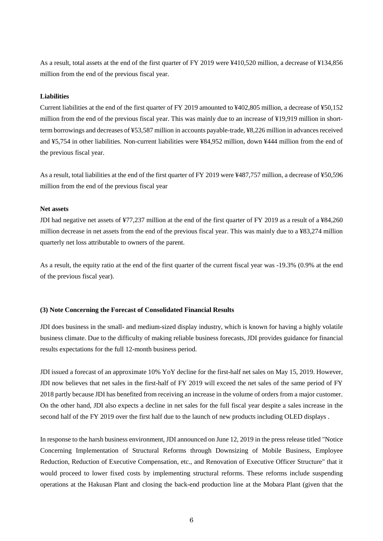As a result, total assets at the end of the first quarter of FY 2019 were ¥410,520 million, a decrease of ¥134,856 million from the end of the previous fiscal year.

#### **Liabilities**

Current liabilities at the end of the first quarter of FY 2019 amounted to ¥402,805 million, a decrease of ¥50,152 million from the end of the previous fiscal year. This was mainly due to an increase of ¥19,919 million in shortterm borrowings and decreases of ¥53,587 million in accounts payable-trade, ¥8,226 million in advances received and ¥5,754 in other liabilities. Non-current liabilities were ¥84,952 million, down ¥444 million from the end of the previous fiscal year.

As a result, total liabilities at the end of the first quarter of FY 2019 were ¥487,757 million, a decrease of ¥50,596 million from the end of the previous fiscal year

#### **Net assets**

JDI had negative net assets of ¥77,237 million at the end of the first quarter of FY 2019 as a result of a ¥84,260 million decrease in net assets from the end of the previous fiscal year. This was mainly due to a ¥83,274 million quarterly net loss attributable to owners of the parent.

As a result, the equity ratio at the end of the first quarter of the current fiscal year was -19.3% (0.9% at the end of the previous fiscal year).

#### **(3) Note Concerning the Forecast of Consolidated Financial Results**

JDI does business in the small- and medium-sized display industry, which is known for having a highly volatile business climate. Due to the difficulty of making reliable business forecasts, JDI provides guidance for financial results expectations for the full 12-month business period.

JDI issued a forecast of an approximate 10% YoY decline for the first-half net sales on May 15, 2019. However, JDI now believes that net sales in the first-half of FY 2019 will exceed the net sales of the same period of FY 2018 partly because JDI has benefited from receiving an increase in the volume of orders from a major customer. On the other hand, JDI also expects a decline in net sales for the full fiscal year despite a sales increase in the second half of the FY 2019 over the first half due to the launch of new products including OLED displays .

In response to the harsh business environment, JDI announced on June 12, 2019 in the press release titled "Notice Concerning Implementation of Structural Reforms through Downsizing of Mobile Business, Employee Reduction, Reduction of Executive Compensation, etc., and Renovation of Executive Officer Structure" that it would proceed to lower fixed costs by implementing structural reforms. These reforms include suspending operations at the Hakusan Plant and closing the back-end production line at the Mobara Plant (given that the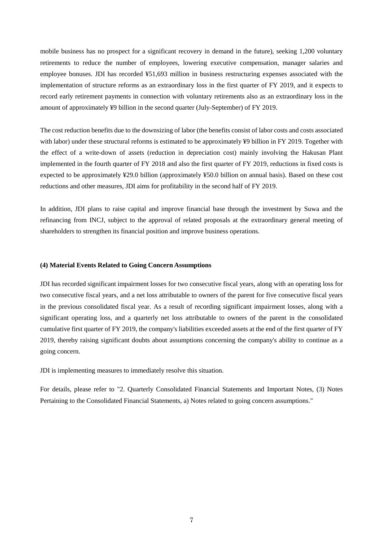mobile business has no prospect for a significant recovery in demand in the future), seeking 1,200 voluntary retirements to reduce the number of employees, lowering executive compensation, manager salaries and employee bonuses. JDI has recorded ¥51,693 million in business restructuring expenses associated with the implementation of structure reforms as an extraordinary loss in the first quarter of FY 2019, and it expects to record early retirement payments in connection with voluntary retirements also as an extraordinary loss in the amount of approximately ¥9 billion in the second quarter (July-September) of FY 2019.

The cost reduction benefits due to the downsizing of labor (the benefits consist of labor costs and costs associated with labor) under these structural reforms is estimated to be approximately ¥9 billion in FY 2019. Together with the effect of a write-down of assets (reduction in depreciation cost) mainly involving the Hakusan Plant implemented in the fourth quarter of FY 2018 and also the first quarter of FY 2019, reductions in fixed costs is expected to be approximately ¥29.0 billion (approximately ¥50.0 billion on annual basis). Based on these cost reductions and other measures, JDI aims for profitability in the second half of FY 2019.

In addition, JDI plans to raise capital and improve financial base through the investment by Suwa and the refinancing from INCJ, subject to the approval of related proposals at the extraordinary general meeting of shareholders to strengthen its financial position and improve business operations.

#### **(4) Material Events Related to Going Concern Assumptions**

JDI has recorded significant impairment losses for two consecutive fiscal years, along with an operating loss for two consecutive fiscal years, and a net loss attributable to owners of the parent for five consecutive fiscal years in the previous consolidated fiscal year. As a result of recording significant impairment losses, along with a significant operating loss, and a quarterly net loss attributable to owners of the parent in the consolidated cumulative first quarter of FY 2019, the company's liabilities exceeded assets at the end of the first quarter of FY 2019, thereby raising significant doubts about assumptions concerning the company's ability to continue as a going concern.

JDI is implementing measures to immediately resolve this situation.

For details, please refer to "2. Quarterly Consolidated Financial Statements and Important Notes, (3) Notes Pertaining to the Consolidated Financial Statements, a) Notes related to going concern assumptions."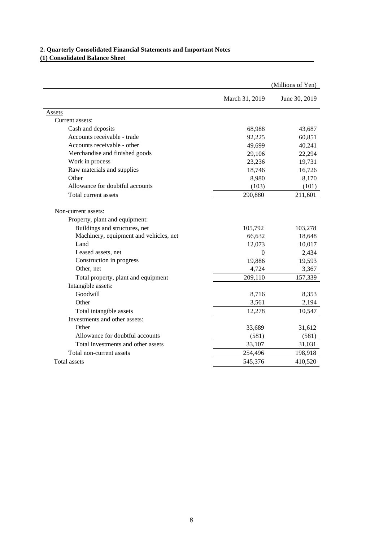### **2. Quarterly Consolidated Financial Statements and Important Notes (1) Consolidated Balance Sheet**

|                                        |                | (Millions of Yen) |
|----------------------------------------|----------------|-------------------|
|                                        | March 31, 2019 | June 30, 2019     |
| Assets                                 |                |                   |
| Current assets:                        |                |                   |
| Cash and deposits                      | 68,988         | 43,687            |
| Accounts receivable - trade            | 92,225         | 60,851            |
| Accounts receivable - other            | 49,699         | 40,241            |
| Merchandise and finished goods         | 29,106         | 22,294            |
| Work in process                        | 23,236         | 19,731            |
| Raw materials and supplies             | 18,746         | 16,726            |
| Other                                  | 8,980          | 8,170             |
| Allowance for doubtful accounts        | (103)          | (101)             |
| Total current assets                   | 290,880        | 211,601           |
| Non-current assets:                    |                |                   |
| Property, plant and equipment:         |                |                   |
| Buildings and structures, net          | 105,792        | 103,278           |
| Machinery, equipment and vehicles, net | 66,632         | 18,648            |
| Land                                   | 12,073         | 10,017            |
| Leased assets, net                     | $\Omega$       | 2,434             |
| Construction in progress               | 19,886         | 19,593            |
| Other, net                             | 4,724          | 3,367             |
| Total property, plant and equipment    | 209,110        | 157,339           |
| Intangible assets:                     |                |                   |
| Goodwill                               | 8,716          | 8,353             |
| Other                                  | 3,561          | 2,194             |
| Total intangible assets                | 12,278         | 10,547            |
| Investments and other assets:          |                |                   |
| Other                                  | 33,689         | 31,612            |
| Allowance for doubtful accounts        | (581)          | (581)             |
| Total investments and other assets     | 33,107         | 31,031            |
| Total non-current assets               | 254,496        | 198,918           |
| Total assets                           | 545,376        | 410,520           |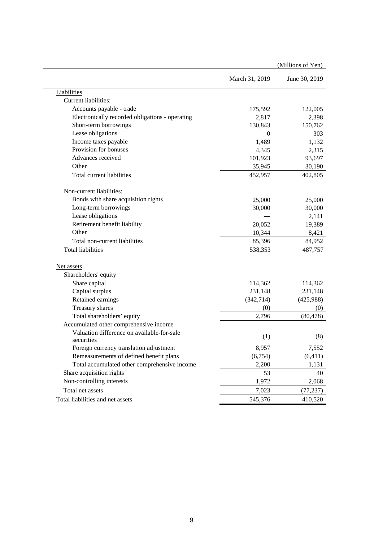|                                                 |                | (Millions of Yen) |
|-------------------------------------------------|----------------|-------------------|
|                                                 | March 31, 2019 | June 30, 2019     |
| Liabilities                                     |                |                   |
| Current liabilities:                            |                |                   |
| Accounts payable - trade                        | 175,592        | 122,005           |
| Electronically recorded obligations - operating | 2,817          | 2,398             |
| Short-term borrowings                           | 130,843        | 150,762           |
| Lease obligations                               | $\Omega$       | 303               |
| Income taxes payable                            | 1,489          | 1,132             |
| Provision for bonuses                           | 4,345          | 2,315             |
| Advances received                               | 101,923        | 93,697            |
| Other                                           | 35,945         | 30,190            |
| Total current liabilities                       | 452,957        | 402,805           |
| Non-current liabilities:                        |                |                   |
| Bonds with share acquisition rights             | 25,000         | 25,000            |
| Long-term borrowings                            | 30,000         | 30,000            |
| Lease obligations                               |                | 2,141             |
| Retirement benefit liability                    | 20,052         | 19,389            |
| Other                                           | 10,344         | 8,421             |
| Total non-current liabilities                   | 85,396         | 84,952            |
| <b>Total liabilities</b>                        | 538,353        | 487,757           |
| Net assets                                      |                |                   |
| Shareholders' equity                            |                |                   |
| Share capital                                   | 114,362        | 114,362           |
| Capital surplus                                 | 231,148        | 231,148           |
| Retained earnings                               | (342,714)      | (425,988)         |
| Treasury shares                                 | (0)            | (0)               |
| Total shareholders' equity                      | 2,796          | (80, 478)         |
| Accumulated other comprehensive income          |                |                   |
| Valuation difference on available-for-sale      |                |                   |
| securities                                      | (1)            | (8)               |
| Foreign currency translation adjustment         | 8,957          | 7,552             |
| Remeasurements of defined benefit plans         | (6,754)        | (6, 411)          |
| Total accumulated other comprehensive income    | 2,200          | 1,131             |
| Share acquisition rights                        | 53             | 40                |
| Non-controlling interests                       | 1,972          | 2,068             |
| Total net assets                                | 7,023          | (77, 237)         |
| Total liabilities and net assets                | 545,376        | 410,520           |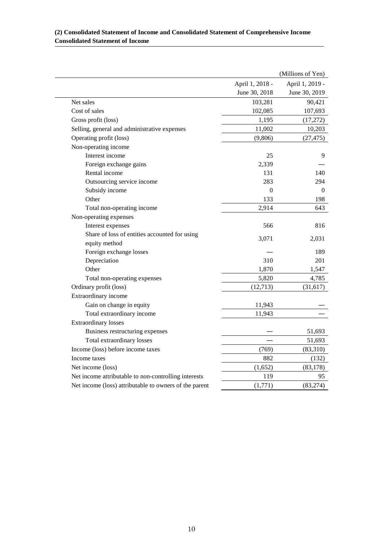|                                                        |                 | (Millions of Yen) |
|--------------------------------------------------------|-----------------|-------------------|
|                                                        | April 1, 2018 - | April 1, 2019 -   |
|                                                        | June 30, 2018   | June 30, 2019     |
| Net sales                                              | 103,281         | 90,421            |
| Cost of sales                                          | 102,085         | 107,693           |
| Gross profit (loss)                                    | 1,195           | (17,272)          |
| Selling, general and administrative expenses           | 11,002          | 10,203            |
| Operating profit (loss)                                | (9,806)         | (27, 475)         |
| Non-operating income                                   |                 |                   |
| Interest income                                        | 25              | 9                 |
| Foreign exchange gains                                 | 2,339           |                   |
| Rental income                                          | 131             | 140               |
| Outsourcing service income                             | 283             | 294               |
| Subsidy income                                         | $\overline{0}$  | $\boldsymbol{0}$  |
| Other                                                  | 133             | 198               |
| Total non-operating income                             | 2,914           | 643               |
| Non-operating expenses                                 |                 |                   |
| Interest expenses                                      | 566             | 816               |
| Share of loss of entities accounted for using          |                 |                   |
| equity method                                          | 3,071           | 2,031             |
| Foreign exchange losses                                |                 | 189               |
| Depreciation                                           | 310             | 201               |
| Other                                                  | 1,870           | 1,547             |
| Total non-operating expenses                           | 5,820           | 4,785             |
| Ordinary profit (loss)                                 | (12, 713)       | (31, 617)         |
| Extraordinary income                                   |                 |                   |
| Gain on change in equity                               | 11,943          |                   |
| Total extraordinary income                             | 11,943          |                   |
| <b>Extraordinary losses</b>                            |                 |                   |
| Business restructuring expenses                        |                 | 51,693            |
| Total extraordinary losses                             |                 | 51,693            |
| Income (loss) before income taxes                      | (769)           | (83,310)          |
| Income taxes                                           | 882             | (132)             |
| Net income (loss)                                      | (1,652)         | (83, 178)         |
| Net income attributable to non-controlling interests   | 119             | 95                |
| Net income (loss) attributable to owners of the parent | (1,771)         | (83, 274)         |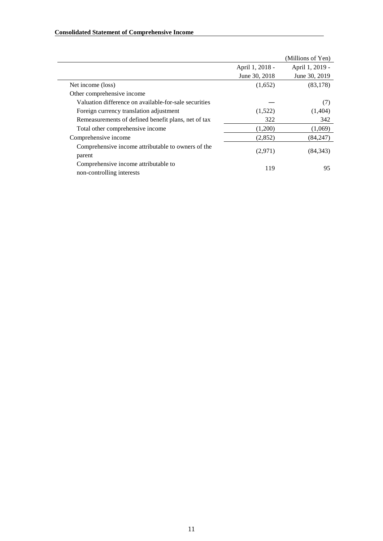|                                                                   |                 | (Millions of Yen) |
|-------------------------------------------------------------------|-----------------|-------------------|
|                                                                   | April 1, 2018 - | April 1, 2019 -   |
|                                                                   | June 30, 2018   | June 30, 2019     |
| Net income (loss)                                                 | (1,652)         | (83, 178)         |
| Other comprehensive income                                        |                 |                   |
| Valuation difference on available-for-sale securities             |                 | (7)               |
| Foreign currency translation adjustment                           | (1,522)         | (1,404)           |
| Remeasurements of defined benefit plans, net of tax               | 322             | 342               |
| Total other comprehensive income                                  | (1,200)         | (1,069)           |
| Comprehensive income                                              | (2,852)         | (84, 247)         |
| Comprehensive income attributable to owners of the<br>parent      | (2,971)         | (84, 343)         |
| Comprehensive income attributable to<br>non-controlling interests | 119             | 95                |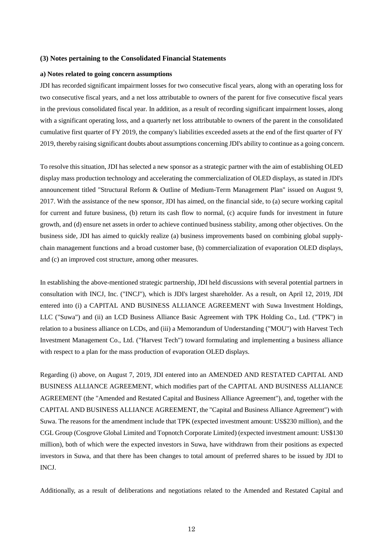#### **(3) Notes pertaining to the Consolidated Financial Statements**

#### **a) Notes related to going concern assumptions**

JDI has recorded significant impairment losses for two consecutive fiscal years, along with an operating loss for two consecutive fiscal years, and a net loss attributable to owners of the parent for five consecutive fiscal years in the previous consolidated fiscal year. In addition, as a result of recording significant impairment losses, along with a significant operating loss, and a quarterly net loss attributable to owners of the parent in the consolidated cumulative first quarter of FY 2019, the company's liabilities exceeded assets at the end of the first quarter of FY 2019, thereby raising significant doubts about assumptions concerning JDI's ability to continue as a going concern.

To resolve this situation, JDI has selected a new sponsor as a strategic partner with the aim of establishing OLED display mass production technology and accelerating the commercialization of OLED displays, as stated in JDI's announcement titled "Structural Reform & Outline of Medium-Term Management Plan" issued on August 9, 2017. With the assistance of the new sponsor, JDI has aimed, on the financial side, to (a) secure working capital for current and future business, (b) return its cash flow to normal, (c) acquire funds for investment in future growth, and (d) ensure net assets in order to achieve continued business stability, among other objectives. On the business side, JDI has aimed to quickly realize (a) business improvements based on combining global supplychain management functions and a broad customer base, (b) commercialization of evaporation OLED displays, and (c) an improved cost structure, among other measures.

In establishing the above-mentioned strategic partnership, JDI held discussions with several potential partners in consultation with INCJ, Inc. ("INCJ"), which is JDI's largest shareholder. As a result, on April 12, 2019, JDI entered into (i) a CAPITAL AND BUSINESS ALLIANCE AGREEMENT with Suwa Investment Holdings, LLC ("Suwa") and (ii) an LCD Business Alliance Basic Agreement with TPK Holding Co., Ltd. ("TPK") in relation to a business alliance on LCDs, and (iii) a Memorandum of Understanding ("MOU") with Harvest Tech Investment Management Co., Ltd. ("Harvest Tech") toward formulating and implementing a business alliance with respect to a plan for the mass production of evaporation OLED displays.

Regarding (i) above, on August 7, 2019, JDI entered into an AMENDED AND RESTATED CAPITAL AND BUSINESS ALLIANCE AGREEMENT, which modifies part of the CAPITAL AND BUSINESS ALLIANCE AGREEMENT (the "Amended and Restated Capital and Business Alliance Agreement"), and, together with the CAPITAL AND BUSINESS ALLIANCE AGREEMENT, the "Capital and Business Alliance Agreement") with Suwa. The reasons for the amendment include that TPK (expected investment amount: US\$230 million), and the CGL Group (Cosgrove Global Limited and Topnotch Corporate Limited) (expected investment amount: US\$130 million), both of which were the expected investors in Suwa, have withdrawn from their positions as expected investors in Suwa, and that there has been changes to total amount of preferred shares to be issued by JDI to INCJ.

Additionally, as a result of deliberations and negotiations related to the Amended and Restated Capital and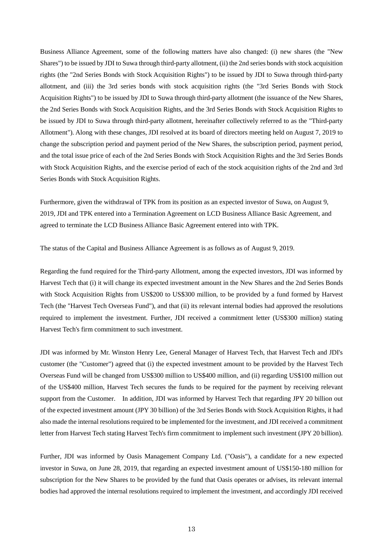Business Alliance Agreement, some of the following matters have also changed: (i) new shares (the "New Shares") to be issued by JDI to Suwa through third-party allotment, (ii) the 2nd series bonds with stock acquisition rights (the "2nd Series Bonds with Stock Acquisition Rights") to be issued by JDI to Suwa through third-party allotment, and (iii) the 3rd series bonds with stock acquisition rights (the "3rd Series Bonds with Stock Acquisition Rights") to be issued by JDI to Suwa through third-party allotment (the issuance of the New Shares, the 2nd Series Bonds with Stock Acquisition Rights, and the 3rd Series Bonds with Stock Acquisition Rights to be issued by JDI to Suwa through third-party allotment, hereinafter collectively referred to as the "Third-party Allotment"). Along with these changes, JDI resolved at its board of directors meeting held on August 7, 2019 to change the subscription period and payment period of the New Shares, the subscription period, payment period, and the total issue price of each of the 2nd Series Bonds with Stock Acquisition Rights and the 3rd Series Bonds with Stock Acquisition Rights, and the exercise period of each of the stock acquisition rights of the 2nd and 3rd Series Bonds with Stock Acquisition Rights.

Furthermore, given the withdrawal of TPK from its position as an expected investor of Suwa, on August 9, 2019, JDI and TPK entered into a Termination Agreement on LCD Business Alliance Basic Agreement, and agreed to terminate the LCD Business Alliance Basic Agreement entered into with TPK.

The status of the Capital and Business Alliance Agreement is as follows as of August 9, 2019.

Regarding the fund required for the Third-party Allotment, among the expected investors, JDI was informed by Harvest Tech that (i) it will change its expected investment amount in the New Shares and the 2nd Series Bonds with Stock Acquisition Rights from US\$200 to US\$300 million, to be provided by a fund formed by Harvest Tech (the "Harvest Tech Overseas Fund"), and that (ii) its relevant internal bodies had approved the resolutions required to implement the investment. Further, JDI received a commitment letter (US\$300 million) stating Harvest Tech's firm commitment to such investment.

JDI was informed by Mr. Winston Henry Lee, General Manager of Harvest Tech, that Harvest Tech and JDI's customer (the "Customer") agreed that (i) the expected investment amount to be provided by the Harvest Tech Overseas Fund will be changed from US\$300 million to US\$400 million, and (ii) regarding US\$100 million out of the US\$400 million, Harvest Tech secures the funds to be required for the payment by receiving relevant support from the Customer. In addition, JDI was informed by Harvest Tech that regarding JPY 20 billion out of the expected investment amount (JPY 30 billion) of the 3rd Series Bonds with Stock Acquisition Rights, it had also made the internal resolutions required to be implemented for the investment, and JDI received a commitment letter from Harvest Tech stating Harvest Tech's firm commitment to implement such investment (JPY 20 billion).

Further, JDI was informed by Oasis Management Company Ltd. ("Oasis"), a candidate for a new expected investor in Suwa, on June 28, 2019, that regarding an expected investment amount of US\$150-180 million for subscription for the New Shares to be provided by the fund that Oasis operates or advises, its relevant internal bodies had approved the internal resolutions required to implement the investment, and accordingly JDI received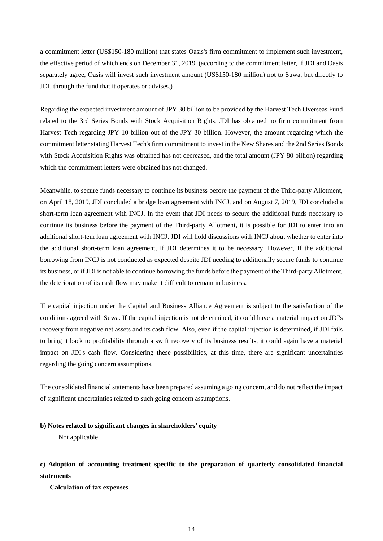a commitment letter (US\$150-180 million) that states Oasis's firm commitment to implement such investment, the effective period of which ends on December 31, 2019. (according to the commitment letter, if JDI and Oasis separately agree, Oasis will invest such investment amount (US\$150-180 million) not to Suwa, but directly to JDI, through the fund that it operates or advises.)

Regarding the expected investment amount of JPY 30 billion to be provided by the Harvest Tech Overseas Fund related to the 3rd Series Bonds with Stock Acquisition Rights, JDI has obtained no firm commitment from Harvest Tech regarding JPY 10 billion out of the JPY 30 billion. However, the amount regarding which the commitment letter stating Harvest Tech's firm commitment to invest in the New Shares and the 2nd Series Bonds with Stock Acquisition Rights was obtained has not decreased, and the total amount (JPY 80 billion) regarding which the commitment letters were obtained has not changed.

Meanwhile, to secure funds necessary to continue its business before the payment of the Third-party Allotment, on April 18, 2019, JDI concluded a bridge loan agreement with INCJ, and on August 7, 2019, JDI concluded a short-term loan agreement with INCJ. In the event that JDI needs to secure the additional funds necessary to continue its business before the payment of the Third-party Allotment, it is possible for JDI to enter into an additional short-tem loan agreement with INCJ. JDI will hold discussions with INCJ about whether to enter into the additional short-term loan agreement, if JDI determines it to be necessary. However, If the additional borrowing from INCJ is not conducted as expected despite JDI needing to additionally secure funds to continue its business, or if JDI is not able to continue borrowing the funds before the payment of the Third-party Allotment, the deterioration of its cash flow may make it difficult to remain in business.

The capital injection under the Capital and Business Alliance Agreement is subject to the satisfaction of the conditions agreed with Suwa. If the capital injection is not determined, it could have a material impact on JDI's recovery from negative net assets and its cash flow. Also, even if the capital injection is determined, if JDI fails to bring it back to profitability through a swift recovery of its business results, it could again have a material impact on JDI's cash flow. Considering these possibilities, at this time, there are significant uncertainties regarding the going concern assumptions.

The consolidated financial statements have been prepared assuming a going concern, and do not reflect the impact of significant uncertainties related to such going concern assumptions.

#### **b) Notes related to significant changes in shareholders' equity**

Not applicable.

# **c) Adoption of accounting treatment specific to the preparation of quarterly consolidated financial statements**

**Calculation of tax expenses**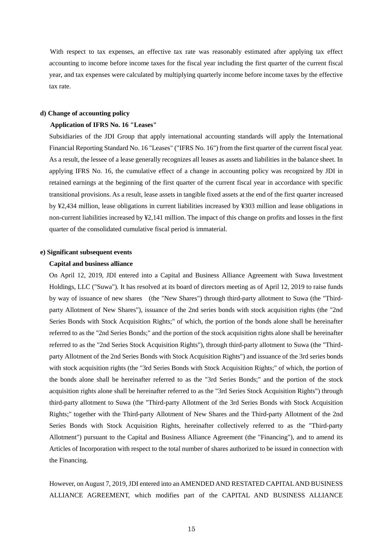With respect to tax expenses, an effective tax rate was reasonably estimated after applying tax effect accounting to income before income taxes for the fiscal year including the first quarter of the current fiscal year, and tax expenses were calculated by multiplying quarterly income before income taxes by the effective tax rate.

#### **d) Change of accounting policy**

#### **Application of IFRS No. 16 "Leases"**

Subsidiaries of the JDI Group that apply international accounting standards will apply the International Financial Reporting Standard No. 16 "Leases" ("IFRS No. 16") from the first quarter of the current fiscal year. As a result, the lessee of a lease generally recognizes all leases as assets and liabilities in the balance sheet. In applying IFRS No. 16, the cumulative effect of a change in accounting policy was recognized by JDI in retained earnings at the beginning of the first quarter of the current fiscal year in accordance with specific transitional provisions. As a result, lease assets in tangible fixed assets at the end of the first quarter increased by ¥2,434 million, lease obligations in current liabilities increased by ¥303 million and lease obligations in non-current liabilities increased by ¥2,141 million. The impact of this change on profits and losses in the first quarter of the consolidated cumulative fiscal period is immaterial.

#### **e) Significant subsequent events**

#### **Capital and business alliance**

On April 12, 2019, JDI entered into a Capital and Business Alliance Agreement with Suwa Investment Holdings, LLC ("Suwa"). It has resolved at its board of directors meeting as of April 12, 2019 to raise funds by way of issuance of new shares (the "New Shares") through third-party allotment to Suwa (the "Thirdparty Allotment of New Shares"), issuance of the 2nd series bonds with stock acquisition rights (the "2nd Series Bonds with Stock Acquisition Rights;" of which, the portion of the bonds alone shall be hereinafter referred to as the "2nd Series Bonds;" and the portion of the stock acquisition rights alone shall be hereinafter referred to as the "2nd Series Stock Acquisition Rights"), through third-party allotment to Suwa (the "Thirdparty Allotment of the 2nd Series Bonds with Stock Acquisition Rights") and issuance of the 3rd series bonds with stock acquisition rights (the "3rd Series Bonds with Stock Acquisition Rights;" of which, the portion of the bonds alone shall be hereinafter referred to as the "3rd Series Bonds;" and the portion of the stock acquisition rights alone shall be hereinafter referred to as the "3rd Series Stock Acquisition Rights") through third-party allotment to Suwa (the "Third-party Allotment of the 3rd Series Bonds with Stock Acquisition Rights;" together with the Third-party Allotment of New Shares and the Third-party Allotment of the 2nd Series Bonds with Stock Acquisition Rights, hereinafter collectively referred to as the "Third-party Allotment") pursuant to the Capital and Business Alliance Agreement (the "Financing"), and to amend its Articles of Incorporation with respect to the total number of shares authorized to be issued in connection with the Financing.

However, on August 7, 2019, JDI entered into an AMENDED AND RESTATED CAPITAL AND BUSINESS ALLIANCE AGREEMENT, which modifies part of the CAPITAL AND BUSINESS ALLIANCE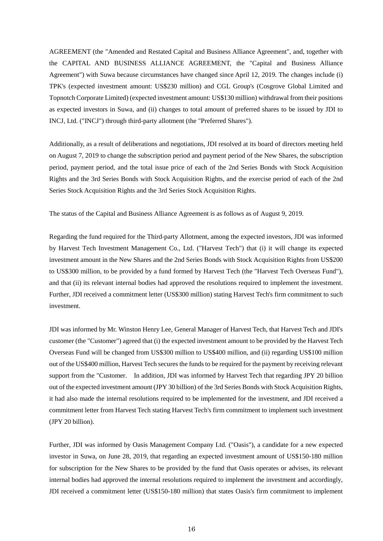AGREEMENT (the "Amended and Restated Capital and Business Alliance Agreement", and, together with the CAPITAL AND BUSINESS ALLIANCE AGREEMENT, the "Capital and Business Alliance Agreement") with Suwa because circumstances have changed since April 12, 2019. The changes include (i) TPK's (expected investment amount: US\$230 million) and CGL Group's (Cosgrove Global Limited and Topnotch Corporate Limited) (expected investment amount: US\$130 million) withdrawal from their positions as expected investors in Suwa, and (ii) changes to total amount of preferred shares to be issued by JDI to INCJ, Ltd. ("INCJ") through third-party allotment (the "Preferred Shares").

Additionally, as a result of deliberations and negotiations, JDI resolved at its board of directors meeting held on August 7, 2019 to change the subscription period and payment period of the New Shares, the subscription period, payment period, and the total issue price of each of the 2nd Series Bonds with Stock Acquisition Rights and the 3rd Series Bonds with Stock Acquisition Rights, and the exercise period of each of the 2nd Series Stock Acquisition Rights and the 3rd Series Stock Acquisition Rights.

The status of the Capital and Business Alliance Agreement is as follows as of August 9, 2019.

Regarding the fund required for the Third-party Allotment, among the expected investors, JDI was informed by Harvest Tech Investment Management Co., Ltd. ("Harvest Tech") that (i) it will change its expected investment amount in the New Shares and the 2nd Series Bonds with Stock Acquisition Rights from US\$200 to US\$300 million, to be provided by a fund formed by Harvest Tech (the "Harvest Tech Overseas Fund"), and that (ii) its relevant internal bodies had approved the resolutions required to implement the investment. Further, JDI received a commitment letter (US\$300 million) stating Harvest Tech's firm commitment to such investment.

JDI was informed by Mr. Winston Henry Lee, General Manager of Harvest Tech, that Harvest Tech and JDI's customer (the "Customer") agreed that (i) the expected investment amount to be provided by the Harvest Tech Overseas Fund will be changed from US\$300 million to US\$400 million, and (ii) regarding US\$100 million out of the US\$400 million, Harvest Tech secures the funds to be required for the payment by receiving relevant support from the "Customer. In addition, JDI was informed by Harvest Tech that regarding JPY 20 billion out of the expected investment amount (JPY 30 billion) of the 3rd Series Bonds with Stock Acquisition Rights, it had also made the internal resolutions required to be implemented for the investment, and JDI received a commitment letter from Harvest Tech stating Harvest Tech's firm commitment to implement such investment (JPY 20 billion).

Further, JDI was informed by Oasis Management Company Ltd. ("Oasis"), a candidate for a new expected investor in Suwa, on June 28, 2019, that regarding an expected investment amount of US\$150-180 million for subscription for the New Shares to be provided by the fund that Oasis operates or advises, its relevant internal bodies had approved the internal resolutions required to implement the investment and accordingly, JDI received a commitment letter (US\$150-180 million) that states Oasis's firm commitment to implement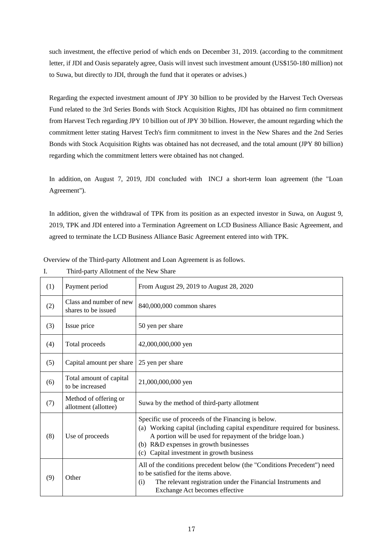such investment, the effective period of which ends on December 31, 2019. (according to the commitment letter, if JDI and Oasis separately agree, Oasis will invest such investment amount (US\$150-180 million) not to Suwa, but directly to JDI, through the fund that it operates or advises.)

Regarding the expected investment amount of JPY 30 billion to be provided by the Harvest Tech Overseas Fund related to the 3rd Series Bonds with Stock Acquisition Rights, JDI has obtained no firm commitment from Harvest Tech regarding JPY 10 billion out of JPY 30 billion. However, the amount regarding which the commitment letter stating Harvest Tech's firm commitment to invest in the New Shares and the 2nd Series Bonds with Stock Acquisition Rights was obtained has not decreased, and the total amount (JPY 80 billion) regarding which the commitment letters were obtained has not changed.

In addition, on August 7, 2019, JDI concluded with INCJ a short-term loan agreement (the "Loan Agreement").

In addition, given the withdrawal of TPK from its position as an expected investor in Suwa, on August 9, 2019, TPK and JDI entered into a Termination Agreement on LCD Business Alliance Basic Agreement, and agreed to terminate the LCD Business Alliance Basic Agreement entered into with TPK.

|  | Overview of the Third-party Allotment and Loan Agreement is as follows. |
|--|-------------------------------------------------------------------------|
|  |                                                                         |

| (1) | Payment period                                 | From August 29, 2019 to August 28, 2020                                                                                                                                                                                                                                             |
|-----|------------------------------------------------|-------------------------------------------------------------------------------------------------------------------------------------------------------------------------------------------------------------------------------------------------------------------------------------|
| (2) | Class and number of new<br>shares to be issued | 840,000,000 common shares                                                                                                                                                                                                                                                           |
| (3) | Issue price                                    | 50 yen per share                                                                                                                                                                                                                                                                    |
| (4) | Total proceeds                                 | 42,000,000,000 yen                                                                                                                                                                                                                                                                  |
| (5) | Capital amount per share                       | 25 yen per share                                                                                                                                                                                                                                                                    |
| (6) | Total amount of capital<br>to be increased     | 21,000,000,000 yen                                                                                                                                                                                                                                                                  |
| (7) | Method of offering or<br>allotment (allottee)  | Suwa by the method of third-party allotment                                                                                                                                                                                                                                         |
| (8) | Use of proceeds                                | Specific use of proceeds of the Financing is below.<br>(a) Working capital (including capital expenditure required for business.<br>A portion will be used for repayment of the bridge loan.)<br>(b) R&D expenses in growth businesses<br>(c) Capital investment in growth business |
| (9) | Other                                          | All of the conditions precedent below (the "Conditions Precedent") need<br>to be satisfied for the items above.<br>The relevant registration under the Financial Instruments and<br>(i)<br>Exchange Act becomes effective                                                           |

I. Third-party Allotment of the New Share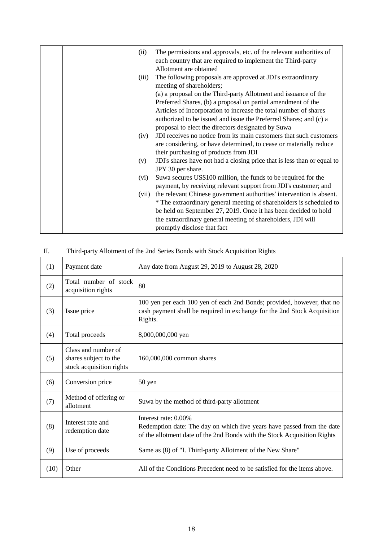|  | (ii)  | The permissions and approvals, etc. of the relevant authorities of<br>each country that are required to implement the Third-party<br>Allotment are obtained |
|--|-------|-------------------------------------------------------------------------------------------------------------------------------------------------------------|
|  | (iii) | The following proposals are approved at JDI's extraordinary                                                                                                 |
|  |       | meeting of shareholders;<br>(a) a proposal on the Third-party Allotment and issuance of the                                                                 |
|  |       | Preferred Shares, (b) a proposal on partial amendment of the                                                                                                |
|  |       | Articles of Incorporation to increase the total number of shares                                                                                            |
|  |       | authorized to be issued and issue the Preferred Shares; and (c) a                                                                                           |
|  |       | proposal to elect the directors designated by Suwa                                                                                                          |
|  | (iv)  | JDI receives no notice from its main customers that such customers                                                                                          |
|  |       | are considering, or have determined, to cease or materially reduce                                                                                          |
|  |       | their purchasing of products from JDI                                                                                                                       |
|  | (v)   | JDI's shares have not had a closing price that is less than or equal to                                                                                     |
|  |       | JPY 30 per share.                                                                                                                                           |
|  | (vi)  | Suwa secures US\$100 million, the funds to be required for the                                                                                              |
|  |       | payment, by receiving relevant support from JDI's customer; and                                                                                             |
|  | (vii) | the relevant Chinese government authorities' intervention is absent.                                                                                        |
|  |       | * The extraordinary general meeting of shareholders is scheduled to                                                                                         |
|  |       | be held on September 27, 2019. Once it has been decided to hold                                                                                             |
|  |       | the extraordinary general meeting of shareholders, JDI will                                                                                                 |
|  |       | promptly disclose that fact                                                                                                                                 |

# II. Third-party Allotment of the 2nd Series Bonds with Stock Acquisition Rights

| (1)  | Payment date                                                             | Any date from August 29, 2019 to August 28, 2020                                                                                                                           |
|------|--------------------------------------------------------------------------|----------------------------------------------------------------------------------------------------------------------------------------------------------------------------|
| (2)  | Total number of stock<br>acquisition rights                              | 80                                                                                                                                                                         |
| (3)  | Issue price                                                              | 100 yen per each 100 yen of each 2nd Bonds; provided, however, that no<br>cash payment shall be required in exchange for the 2nd Stock Acquisition<br>Rights.              |
| (4)  | Total proceeds                                                           | 8,000,000,000 yen                                                                                                                                                          |
| (5)  | Class and number of<br>shares subject to the<br>stock acquisition rights | 160,000,000 common shares                                                                                                                                                  |
| (6)  | Conversion price                                                         | 50 yen                                                                                                                                                                     |
| (7)  | Method of offering or<br>allotment                                       | Suwa by the method of third-party allotment                                                                                                                                |
| (8)  | Interest rate and<br>redemption date                                     | Interest rate: 0.00%<br>Redemption date: The day on which five years have passed from the date<br>of the allotment date of the 2nd Bonds with the Stock Acquisition Rights |
| (9)  | Use of proceeds                                                          | Same as (8) of "I. Third-party Allotment of the New Share"                                                                                                                 |
| (10) | Other                                                                    | All of the Conditions Precedent need to be satisfied for the items above.                                                                                                  |